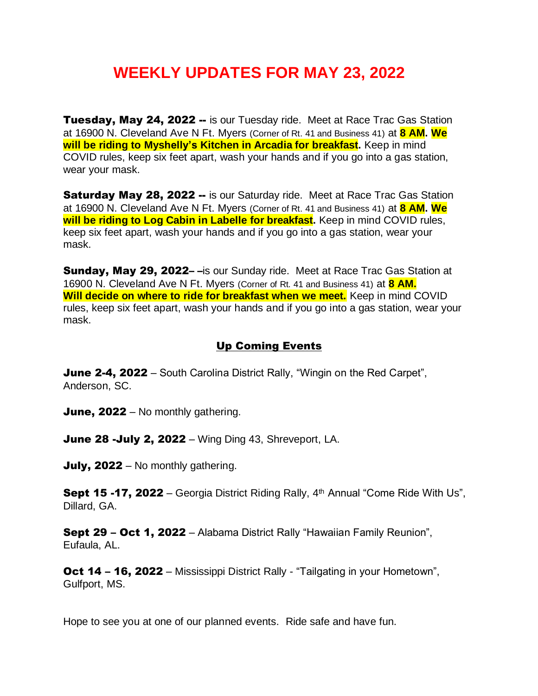## **WEEKLY UPDATES FOR MAY 23, 2022**

Tuesday, May 24, 2022 -- is our Tuesday ride. Meet at Race Trac Gas Station at 16900 N. Cleveland Ave N Ft. Myers (Corner of Rt. 41 and Business 41) at **8 AM. We will be riding to Myshelly's Kitchen in Arcadia for breakfast.** Keep in mind COVID rules, keep six feet apart, wash your hands and if you go into a gas station, wear your mask.

**Saturday May 28, 2022 --** is our Saturday ride. Meet at Race Trac Gas Station at 16900 N. Cleveland Ave N Ft. Myers (Corner of Rt. 41 and Business 41) at **8 AM. We will be riding to Log Cabin in Labelle for breakfast.** Keep in mind COVID rules, keep six feet apart, wash your hands and if you go into a gas station, wear your mask.

Sunday, May 29, 2022--is our Sunday ride. Meet at Race Trac Gas Station at 16900 N. Cleveland Ave N Ft. Myers (Corner of Rt. 41 and Business 41) at **8 AM. Will decide on where to ride for breakfast when we meet.** Keep in mind COVID rules, keep six feet apart, wash your hands and if you go into a gas station, wear your mask.

## Up Coming Events

**June 2-4, 2022** – South Carolina District Rally, "Wingin on the Red Carpet", Anderson, SC.

June, 2022 – No monthly gathering.

**June 28 -July 2, 2022** – Wing Ding 43, Shreveport, LA.

July, 2022 – No monthly gathering.

**Sept 15 -17, 2022** – Georgia District Riding Rally,  $4<sup>th</sup>$  Annual "Come Ride With Us", Dillard, GA.

Sept 29 - Oct 1, 2022 - Alabama District Rally "Hawaiian Family Reunion", Eufaula, AL.

**Oct 14 – 16, 2022 – Mississippi District Rally - "Tailgating in your Hometown",** Gulfport, MS.

Hope to see you at one of our planned events. Ride safe and have fun.